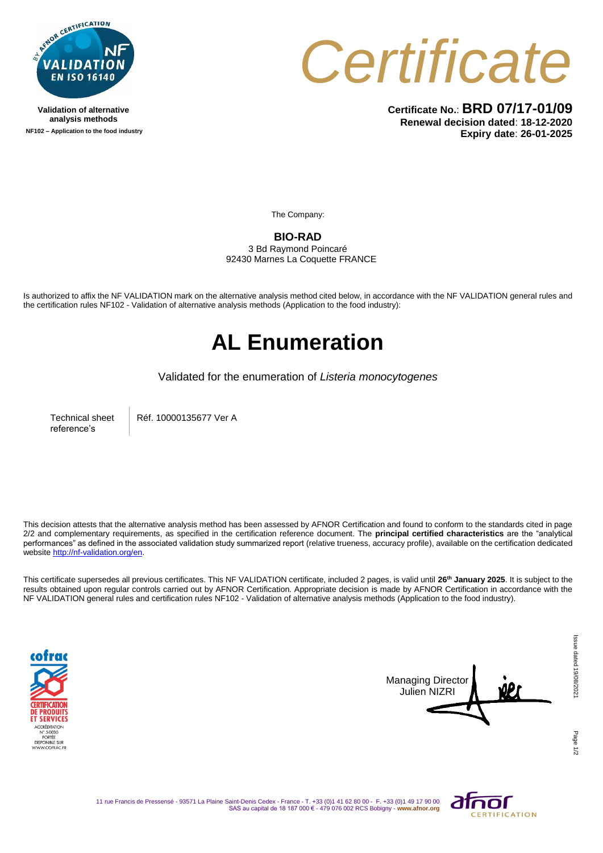

**Validation of alternative analysis methods NF102 – Application to the food industry** *Certificate*

**Certificate No.**: **BRD 07/17-01/09 Renewal decision dated**: **18-12-2020 Expiry date**: **26-01-2025**

The Company:

### **BIO-RAD**

3 Bd Raymond Poincaré 92430 Marnes La Coquette FRANCE

Is authorized to affix the NF VALIDATION mark on the alternative analysis method cited below, in accordance with the NF VALIDATION general rules and the certification rules NF102 - Validation of alternative analysis methods (Application to the food industry):

## **AL Enumeration**

Validated for the enumeration of *Listeria monocytogenes*

Technical sheet reference's

Réf. 10000135677 Ver A

This decision attests that the alternative analysis method has been assessed by AFNOR Certification and found to conform to the standards cited in page 2/2 and complementary requirements, as specified in the certification reference document. The **principal certified characteristics** are the "analytical performances" as defined in the associated validation study summarized report (relative trueness, accuracy profile), available on the certification dedicated websit[e http://nf-validation.org/en.](http://nf-validation.org/en)

This certificate supersedes all previous certificates. This NF VALIDATION certificate, included 2 pages, is valid until **26th January 2025**. It is subject to the results obtained upon regular controls carried out by AFNOR Certification. Appropriate decision is made by AFNOR Certification in accordance with the NF VALIDATION general rules and certification rules NF102 - Validation of alternative analysis methods (Application to the food industry).





Page